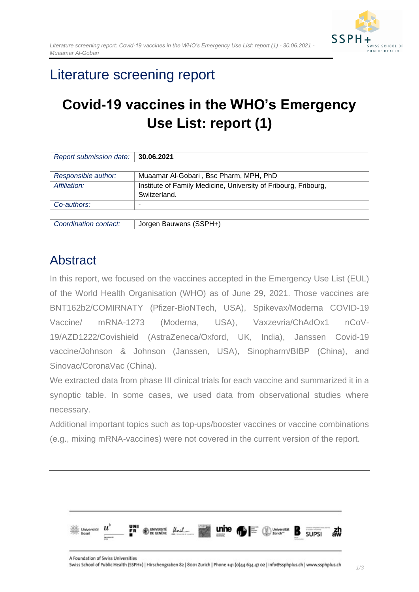

# Literature screening report

# **Covid-19 vaccines in the WHO's Emergency Use List: report (1)**

| Report submission date: | 30.06.2021                                                      |  |  |  |  |
|-------------------------|-----------------------------------------------------------------|--|--|--|--|
|                         |                                                                 |  |  |  |  |
| Responsible author:     | Muaamar Al-Gobari, Bsc Pharm, MPH, PhD                          |  |  |  |  |
| Affiliation:            | Institute of Family Medicine, University of Fribourg, Fribourg, |  |  |  |  |
|                         | Switzerland.                                                    |  |  |  |  |
| Co-authors:             |                                                                 |  |  |  |  |
|                         |                                                                 |  |  |  |  |
| Coordination contact:   | Jorgen Bauwens (SSPH+)                                          |  |  |  |  |

# <span id="page-0-0"></span>Abstract

In this report, we focused on the vaccines accepted in the Emergency Use List (EUL) of the World Health Organisation (WHO) as of June 29, 2021. Those vaccines are BNT162b2/COMIRNATY (Pfizer-BioNTech, USA), Spikevax/Moderna COVID-19 Vaccine/ mRNA-1273 (Moderna, USA), Vaxzevria/ChAdOx1 nCoV-19/AZD1222/Covishield (AstraZeneca/Oxford, UK, India), Janssen Covid-19 vaccine/Johnson & Johnson (Janssen, USA), Sinopharm/BIBP (China), and Sinovac/CoronaVac (China).

We extracted data from phase III clinical trials for each vaccine and summarized it in a synoptic table. In some cases, we used data from observational studies where necessary.

Additional important topics such as top-ups/booster vaccines or vaccine combinations (e.g., mixing mRNA-vaccines) were not covered in the current version of the report.

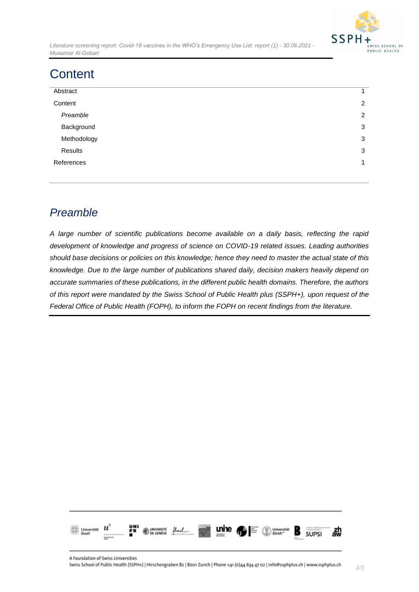

*Literature screening report: Covid-19 vaccines in the WHO's Emergency Use List: report (1) - 30.06.2021 - Muaamar Al-Gobari*

# <span id="page-1-0"></span>**Content**

| Abstract    | 1              |
|-------------|----------------|
| Content     | 2              |
| Preamble    | $\overline{2}$ |
| Background  | 3              |
| Methodology | 3              |
| Results     | 3              |
| References  | $\mathbf{1}$   |
|             |                |

## <span id="page-1-1"></span>*Preamble*

*A large number of scientific publications become available on a daily basis, reflecting the rapid development of knowledge and progress of science on COVID-19 related issues. Leading authorities should base decisions or policies on this knowledge; hence they need to master the actual state of this knowledge. Due to the large number of publications shared daily, decision makers heavily depend on accurate summaries of these publications, in the different public health domains. Therefore, the authors of this report were mandated by the Swiss School of Public Health plus (SSPH+), upon request of the Federal Office of Public Health (FOPH), to inform the FOPH on recent findings from the literature.*

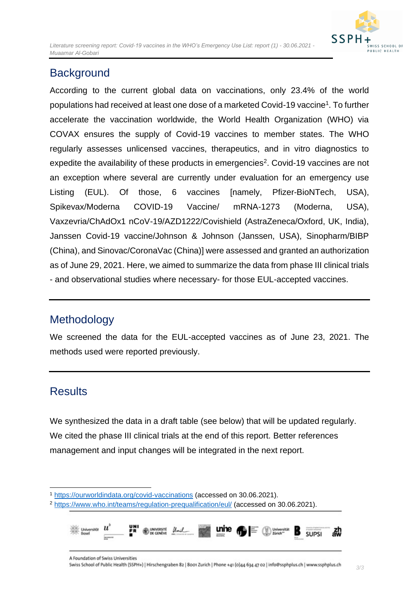

## <span id="page-2-0"></span>**Background**

According to the current global data on vaccinations, only 23.4% of the world populations had received at least one dose of a marketed Covid-19 vaccine<sup>1</sup>. To further accelerate the vaccination worldwide, the World Health Organization (WHO) via COVAX ensures the supply of Covid-19 vaccines to member states. The WHO regularly assesses unlicensed vaccines, therapeutics, and in vitro diagnostics to expedite the availability of these products in emergencies<sup>2</sup>. Covid-19 vaccines are not an exception where several are currently under evaluation for an emergency use Listing (EUL). Of those, 6 vaccines [namely, Pfizer-BioNTech, USA), Spikevax/Moderna COVID-19 Vaccine/ mRNA-1273 (Moderna, USA), Vaxzevria/ChAdOx1 nCoV-19/AZD1222/Covishield (AstraZeneca/Oxford, UK, India), Janssen Covid-19 vaccine/Johnson & Johnson (Janssen, USA), Sinopharm/BIBP (China), and Sinovac/CoronaVac (China)] were assessed and granted an authorization as of June 29, 2021. Here, we aimed to summarize the data from phase III clinical trials - and observational studies where necessary- for those EUL-accepted vaccines.

## <span id="page-2-1"></span>Methodology

We screened the data for the EUL-accepted vaccines as of June 23, 2021. The methods used were reported previously.

# <span id="page-2-2"></span>**Results**

We synthesized the data in a draft table (see below) that will be updated regularly. We cited the phase III clinical trials at the end of this report. Better references management and input changes will be integrated in the next report.

<sup>2</sup> <https://www.who.int/teams/regulation-prequalification/eul/> (accessed on 30.06.2021).



<sup>1</sup> <https://ourworldindata.org/covid-vaccinations> (accessed on 30.06.2021).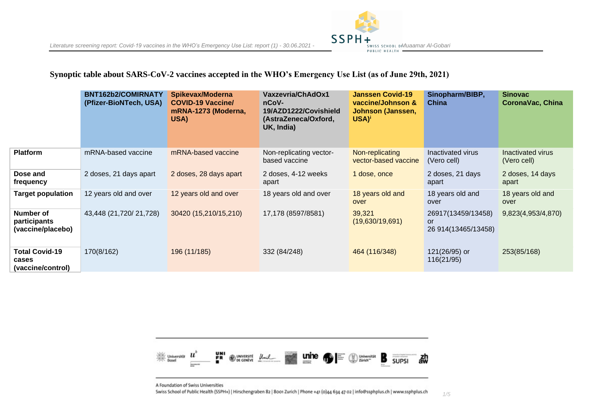## **Synoptic table about SARS-CoV-2 vaccines accepted in the WHO's Emergency Use List (as of June 29th, 2021)**

|                                                     | BNT162b2/COMIRNATY<br>(Pfizer-BioNTech, USA) | Spikevax/Moderna<br><b>COVID-19 Vaccine/</b><br>mRNA-1273 (Moderna,<br>USA) | Vaxzevria/ChAdOx1<br>nCoV-<br>19/AZD1222/Covishield<br>(AstraZeneca/Oxford,<br>UK, India) | <b>Janssen Covid-19</b><br>vaccine/Johnson &<br>Johnson (Janssen,<br>$USA)^i$ | Sinopharm/BIBP,<br>China                         | <b>Sinovac</b><br><b>CoronaVac, China</b> |
|-----------------------------------------------------|----------------------------------------------|-----------------------------------------------------------------------------|-------------------------------------------------------------------------------------------|-------------------------------------------------------------------------------|--------------------------------------------------|-------------------------------------------|
| <b>Platform</b>                                     | mRNA-based vaccine                           | mRNA-based vaccine                                                          | Non-replicating vector-<br>based vaccine                                                  | Non-replicating<br>vector-based vaccine                                       | Inactivated virus<br>(Vero cell)                 | Inactivated virus<br>(Vero cell)          |
| Dose and<br>frequency                               | 2 doses, 21 days apart                       | 2 doses, 28 days apart                                                      | 2 doses, 4-12 weeks<br>apart                                                              | 1 dose, once                                                                  | 2 doses, 21 days<br>apart                        | 2 doses, 14 days<br>apart                 |
| Target population                                   | 12 years old and over                        | 12 years old and over                                                       | 18 years old and over                                                                     | 18 years old and<br>over                                                      | 18 years old and<br>over                         | 18 years old and<br>over                  |
| Number of<br>participants<br>(vaccine/placebo)      | 43,448 (21,720/ 21,728)                      | 30420 (15,210/15,210)                                                       | 17,178 (8597/8581)                                                                        | 39,321<br>(19,630/19,691)                                                     | 26917(13459/13458)<br>or<br>26 914 (13465/13458) | 9,823(4,953/4,870)                        |
| <b>Total Covid-19</b><br>cases<br>(vaccine/control) | 170(8/162)                                   | 196 (11/185)                                                                | 332 (84/248)                                                                              | 464 (116/348)                                                                 | 121(26/95) or<br>116(21/95)                      | 253(85/168)                               |

**SSPH** 



A Foundation of Swiss Universities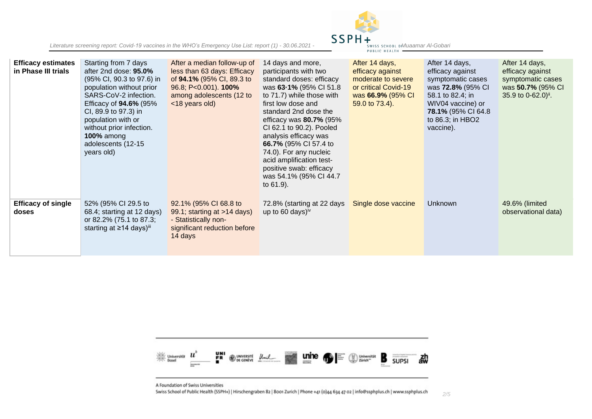

| <b>Efficacy estimates</b><br>in Phase III trials | Starting from 7 days<br>after 2nd dose: 95.0%<br>(95% CI, 90.3 to 97.6) in<br>population without prior<br>SARS-CoV-2 infection.<br>Efficacy of <b>94.6%</b> (95%<br>CI, 89.9 to 97.3) in<br>population with or<br>without prior infection.<br><b>100% among</b><br>adolescents (12-15<br>years old) | After a median follow-up of<br>less than 63 days: Efficacy<br>of 94.1% (95% CI, 89.3 to<br>96.8; P<0.001). <b>100%</b><br>among adolescents (12 to<br><18 years old) | 14 days and more,<br>participants with two<br>standard doses: efficacy<br>was 63-1% (95% CI 51.8<br>to 71.7) while those with<br>first low dose and<br>standard 2nd dose the<br>efficacy was $80.7\%$ (95%)<br>CI 62.1 to 90.2). Pooled<br>analysis efficacy was<br>66.7% (95% CI 57.4 to<br>74.0). For any nucleic<br>acid amplification test-<br>positive swab: efficacy<br>was 54.1% (95% CI 44.7)<br>to 61.9). | After 14 days,<br>efficacy against<br>moderate to severe<br>or critical Covid-19<br>was 66.9% (95% CI<br>59.0 to 73.4). | After 14 days,<br>efficacy against<br>symptomatic cases<br>was 72.8% (95% CI<br>58.1 to 82.4; in<br>WIV04 vaccine) or<br><b>78.1% (95% CI 64.8)</b><br>to 86.3; in HBO2<br>vaccine). | After 14 days,<br>efficacy against<br>symptomatic cases<br>was 50.7% (95% CI<br>35.9 to $0-62.0$ <sup>ii</sup> . |
|--------------------------------------------------|-----------------------------------------------------------------------------------------------------------------------------------------------------------------------------------------------------------------------------------------------------------------------------------------------------|----------------------------------------------------------------------------------------------------------------------------------------------------------------------|--------------------------------------------------------------------------------------------------------------------------------------------------------------------------------------------------------------------------------------------------------------------------------------------------------------------------------------------------------------------------------------------------------------------|-------------------------------------------------------------------------------------------------------------------------|--------------------------------------------------------------------------------------------------------------------------------------------------------------------------------------|------------------------------------------------------------------------------------------------------------------|
| <b>Efficacy of single</b><br>doses               | 52% (95% CI 29.5 to<br>68.4; starting at 12 days)<br>or 82.2% (75.1 to 87.3;<br>starting at ≥14 days)iii                                                                                                                                                                                            | 92.1% (95% CI 68.8 to<br>99.1; starting at >14 days)<br>- Statistically non-<br>significant reduction before<br>14 days                                              | 72.8% (starting at 22 days<br>up to 60 days) <sup>iv</sup>                                                                                                                                                                                                                                                                                                                                                         | Single dose vaccine                                                                                                     | Unknown                                                                                                                                                                              | 49.6% (limited<br>observational data)                                                                            |



A Foundation of Swiss Universities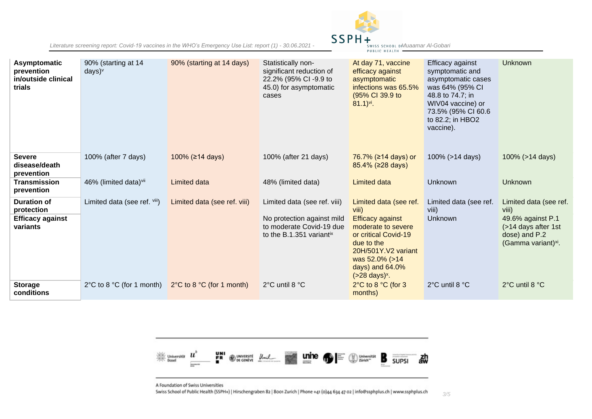

| Asymptomatic<br>prevention<br>in/outside clinical<br>trials | 90% (starting at 14<br>$days)^v$              | 90% (starting at 14 days)                     | Statistically non-<br>significant reduction of<br>22.2% (95% CI-9.9 to<br>45.0) for asymptomatic<br>cases | At day 71, vaccine<br>efficacy against<br>asymptomatic<br>infections was 65.5%<br>(95% CI 39.9 to<br>$81.1$ <sup>vi</sup> .                                                     | Efficacy against<br>symptomatic and<br>asymptomatic cases<br>was 64% (95% CI<br>48.8 to 74.7; in<br>WIV04 vaccine) or<br>73.5% (95% CI 60.6<br>to 82.2; in HBO2<br>vaccine). | <b>Unknown</b>                                                                               |
|-------------------------------------------------------------|-----------------------------------------------|-----------------------------------------------|-----------------------------------------------------------------------------------------------------------|---------------------------------------------------------------------------------------------------------------------------------------------------------------------------------|------------------------------------------------------------------------------------------------------------------------------------------------------------------------------|----------------------------------------------------------------------------------------------|
| <b>Severe</b><br>disease/death<br>prevention                | 100% (after 7 days)                           | 100% (≥14 days)                               | 100% (after 21 days)                                                                                      | 76.7% (≥14 days) or<br>85.4% (≥28 days)                                                                                                                                         | 100% (>14 days)                                                                                                                                                              | 100% (>14 days)                                                                              |
| <b>Transmission</b><br>prevention                           | 46% (limited data) <sup>vii</sup>             | <b>Limited data</b>                           | 48% (limited data)                                                                                        | Limited data                                                                                                                                                                    | Unknown                                                                                                                                                                      | Unknown                                                                                      |
| Duration of<br>protection                                   | Limited data (see ref. viii)                  | Limited data (see ref. viii)                  | Limited data (see ref. viii)                                                                              | Limited data (see ref.<br>viii)                                                                                                                                                 | Limited data (see ref.<br>viii)                                                                                                                                              | Limited data (see ref.<br>viii)                                                              |
| <b>Efficacy against</b><br>variants                         |                                               |                                               | No protection against mild<br>to moderate Covid-19 due<br>to the B.1.351 variantix                        | <b>Efficacy against</b><br>moderate to severe<br>or critical Covid-19<br>due to the<br>20H/501Y.V2 variant<br>was 52.0% (>14<br>days) and 64.0%<br>$($ >28 days) <sup>x</sup> . | <b>Unknown</b>                                                                                                                                                               | 49.6% against P.1<br>(>14 days after 1st<br>dose) and P.2<br>(Gamma variant) <sup>xi</sup> . |
| <b>Storage</b><br>conditions                                | $2^{\circ}$ C to 8 $^{\circ}$ C (for 1 month) | $2^{\circ}$ C to 8 $^{\circ}$ C (for 1 month) | 2°C until 8 °C                                                                                            | $2^{\circ}$ C to 8 $^{\circ}$ C (for 3<br>months)                                                                                                                               | 2°C until 8 °C                                                                                                                                                               | 2°C until 8 °C                                                                               |



A Foundation of Swiss Universities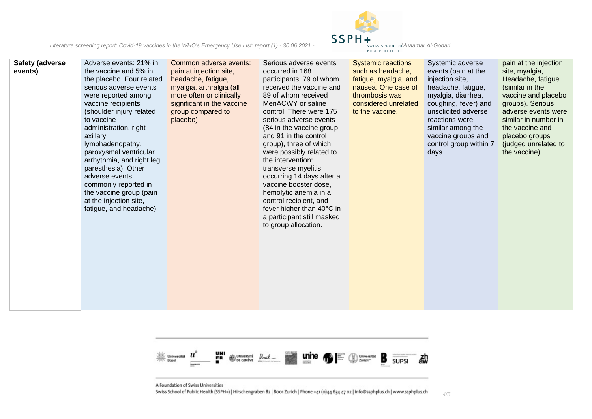*Literature screening report: Covid-19 vaccines in the WHO's Emergency Use List: report (1) - 30.06.2021 - Muaamar Al-Gobari*



| <b>Safety (adverse</b><br>events) | Adverse events: 21% in<br>the vaccine and 5% in<br>the placebo. Four related<br>serious adverse events<br>were reported among<br>vaccine recipients<br>(shoulder injury related<br>to vaccine<br>administration, right<br>axillary<br>lymphadenopathy,<br>paroxysmal ventricular<br>arrhythmia, and right leg<br>paresthesia). Other<br>adverse events<br>commonly reported in<br>the vaccine group (pain<br>at the injection site,<br>fatigue, and headache) | Common adverse events:<br>pain at injection site,<br>headache, fatigue,<br>myalgia, arthralgia (all<br>more often or clinically<br>significant in the vaccine<br>group compared to<br>placebo) | Serious adverse events<br>occurred in 168<br>participants, 79 of whom<br>received the vaccine and<br>89 of whom received<br>MenACWY or saline<br>control. There were 175<br>serious adverse events<br>(84 in the vaccine group<br>and 91 in the control<br>group), three of which<br>were possibly related to<br>the intervention:<br>transverse myelitis<br>occurring 14 days after a<br>vaccine booster dose,<br>hemolytic anemia in a<br>control recipient, and<br>fever higher than 40°C in<br>a participant still masked<br>to group allocation. | <b>Systemic reactions</b><br>such as headache,<br>fatigue, myalgia, and<br>nausea. One case of<br>thrombosis was<br>considered unrelated<br>to the vaccine. | Systemic adverse<br>events (pain at the<br>injection site,<br>headache, fatigue,<br>myalgia, diarrhea,<br>coughing, fever) and<br>unsolicited adverse<br>reactions were<br>similar among the<br>vaccine groups and<br>control group within 7<br>days. | pain at the injection<br>site, myalgia,<br>Headache, fatigue<br>(similar in the<br>vaccine and placebo<br>groups). Serious<br>adverse events were<br>similar in number in<br>the vaccine and<br>placebo groups<br>(judged unrelated to<br>the vaccine). |
|-----------------------------------|---------------------------------------------------------------------------------------------------------------------------------------------------------------------------------------------------------------------------------------------------------------------------------------------------------------------------------------------------------------------------------------------------------------------------------------------------------------|------------------------------------------------------------------------------------------------------------------------------------------------------------------------------------------------|-------------------------------------------------------------------------------------------------------------------------------------------------------------------------------------------------------------------------------------------------------------------------------------------------------------------------------------------------------------------------------------------------------------------------------------------------------------------------------------------------------------------------------------------------------|-------------------------------------------------------------------------------------------------------------------------------------------------------------|-------------------------------------------------------------------------------------------------------------------------------------------------------------------------------------------------------------------------------------------------------|---------------------------------------------------------------------------------------------------------------------------------------------------------------------------------------------------------------------------------------------------------|
|-----------------------------------|---------------------------------------------------------------------------------------------------------------------------------------------------------------------------------------------------------------------------------------------------------------------------------------------------------------------------------------------------------------------------------------------------------------------------------------------------------------|------------------------------------------------------------------------------------------------------------------------------------------------------------------------------------------------|-------------------------------------------------------------------------------------------------------------------------------------------------------------------------------------------------------------------------------------------------------------------------------------------------------------------------------------------------------------------------------------------------------------------------------------------------------------------------------------------------------------------------------------------------------|-------------------------------------------------------------------------------------------------------------------------------------------------------------|-------------------------------------------------------------------------------------------------------------------------------------------------------------------------------------------------------------------------------------------------------|---------------------------------------------------------------------------------------------------------------------------------------------------------------------------------------------------------------------------------------------------------|



A Foundation of Swiss Universities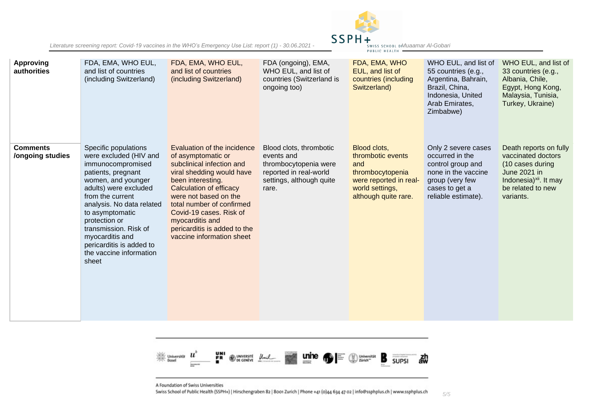*Literature screening report: Covid-19 vaccines in the WHO's Emergency Use List: report (1) - 30.06.2021 - Muaamar Al-Gobari*



| <b>Approving</b><br>authorities     | FDA, EMA, WHO EUL,<br>and list of countries<br>(including Switzerland)                                                                                                                                                                                                                                                                    | FDA, EMA, WHO EUL,<br>and list of countries<br>(including Switzerland)                                                                                                                                                                                                                                                              | FDA (ongoing), EMA,<br>WHO EUL, and list of<br>countries (Switzerland is<br>ongoing too)                                      | FDA, EMA, WHO<br>EUL, and list of<br>countries (including<br>Switzerland)                                                         | WHO EUL, and list of<br>55 countries (e.g.,<br>Argentina, Bahrain,<br>Brazil, China,<br>Indonesia, United<br>Arab Emirates,<br>Zimbabwe)       | WHO EUL, and list of<br>33 countries (e.g.,<br>Albania, Chile,<br>Egypt, Hong Kong,<br>Malaysia, Tunisia,<br>Turkey, Ukraine)                            |
|-------------------------------------|-------------------------------------------------------------------------------------------------------------------------------------------------------------------------------------------------------------------------------------------------------------------------------------------------------------------------------------------|-------------------------------------------------------------------------------------------------------------------------------------------------------------------------------------------------------------------------------------------------------------------------------------------------------------------------------------|-------------------------------------------------------------------------------------------------------------------------------|-----------------------------------------------------------------------------------------------------------------------------------|------------------------------------------------------------------------------------------------------------------------------------------------|----------------------------------------------------------------------------------------------------------------------------------------------------------|
| <b>Comments</b><br>/ongoing studies | Specific populations<br>were excluded (HIV and<br>immunocompromised<br>patients, pregnant<br>women, and younger<br>adults) were excluded<br>from the current<br>analysis. No data related<br>to asymptomatic<br>protection or<br>transmission. Risk of<br>myocarditis and<br>pericarditis is added to<br>the vaccine information<br>sheet | Evaluation of the incidence<br>of asymptomatic or<br>subclinical infection and<br>viral shedding would have<br>been interesting.<br><b>Calculation of efficacy</b><br>were not based on the<br>total number of confirmed<br>Covid-19 cases. Risk of<br>myocarditis and<br>pericarditis is added to the<br>vaccine information sheet | Blood clots, thrombotic<br>events and<br>thrombocytopenia were<br>reported in real-world<br>settings, although quite<br>rare. | Blood clots,<br>thrombotic events<br>and<br>thrombocytopenia<br>were reported in real-<br>world settings,<br>although quite rare. | Only 2 severe cases<br>occurred in the<br>control group and<br>none in the vaccine<br>group (very few<br>cases to get a<br>reliable estimate). | Death reports on fully<br>vaccinated doctors<br>(10 cases during<br>June 2021 in<br>Indonesia) <sup>xii</sup> . It may<br>be related to new<br>variants. |



A Foundation of Swiss Universities